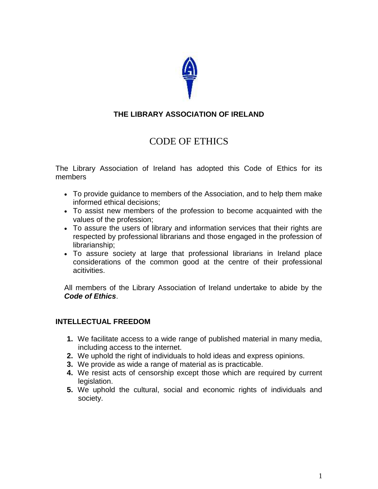

## **THE LIBRARY ASSOCIATION OF IRELAND**

# CODE OF ETHICS

The Library Association of Ireland has adopted this Code of Ethics for its members

- To provide guidance to members of the Association, and to help them make informed ethical decisions;
- To assist new members of the profession to become acquainted with the values of the profession;
- To assure the users of library and information services that their rights are respected by professional librarians and those engaged in the profession of librarianship;
- To assure society at large that professional librarians in Ireland place considerations of the common good at the centre of their professional acitivities.

All members of the Library Association of Ireland undertake to abide by the *Code of Ethics*.

#### **INTELLECTUAL FREEDOM**

- **1.** We facilitate access to a wide range of published material in many media, including access to the internet.
- **2.** We uphold the right of individuals to hold ideas and express opinions.
- **3.** We provide as wide a range of material as is practicable.
- **4.** We resist acts of censorship except those which are required by current legislation.
- **5.** We uphold the cultural, social and economic rights of individuals and society.